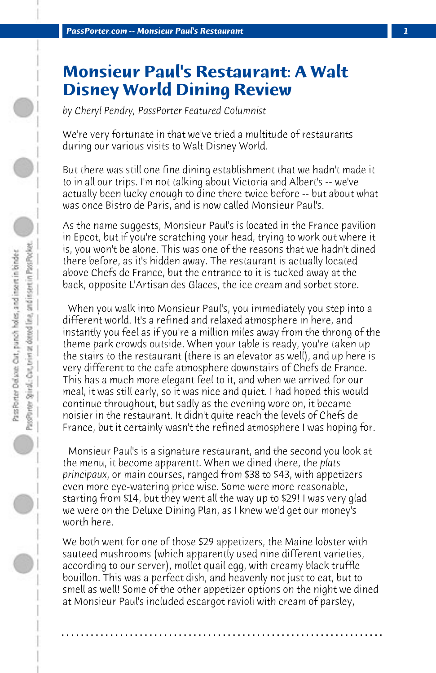## **Monsieur Paul's Restaurant: A Walt Disney World Dining Review**

*by Cheryl Pendry, PassPorter Featured Columnist*

We're very fortunate in that we've tried a multitude of restaurants during our various visits to Walt Disney World.

But there was still one fine dining establishment that we hadn't made it to in all our trips. I'm not talking about Victoria and Albert's -- we've actually been lucky enough to dine there twice before -- but about what was once Bistro de Paris, and is now called Monsieur Paul's.

As the name suggests, Monsieur Paul's is located in the France pavilion in Epcot, but if you're scratching your head, trying to work out where it is, you won't be alone. This was one of the reasons that we hadn't dined there before, as it's hidden away. The restaurant is actually located above Chefs de France, but the entrance to it is tucked away at the back, opposite L'Artisan des Glaces, the ice cream and sorbet store.

 When you walk into Monsieur Paul's, you immediately you step into a different world. It's a refined and relaxed atmosphere in here, and instantly you feel as if you're a million miles away from the throng of the theme park crowds outside. When your table is ready, you're taken up the stairs to the restaurant (there is an elevator as well), and up here is very different to the cafe atmosphere downstairs of Chefs de France. This has a much more elegant feel to it, and when we arrived for our meal, it was still early, so it was nice and quiet. I had hoped this would continue throughout, but sadly as the evening wore on, it became noisier in the restaurant. It didn't quite reach the levels of Chefs de France, but it certainly wasn't the refined atmosphere I was hoping for.

 Monsieur Paul's is a signature restaurant, and the second you look at the menu, it become apparentt. When we dined there, the *plats principaux*, or main courses, ranged from \$38 to \$43, with appetizers even more eye-watering price wise. Some were more reasonable, starting from \$14, but they went all the way up to \$29! I was very glad we were on the Deluxe Dining Plan, as I knew we'd get our money's worth here.

We both went for one of those \$29 appetizers, the Maine lobster with sauteed mushrooms (which apparently used nine different varieties, according to our server), mollet quail egg, with creamy black truffle bouillon. This was a perfect dish, and heavenly not just to eat, but to smell as well! Some of the other appetizer options on the night we dined at Monsieur Paul's included escargot ravioli with cream of parsley,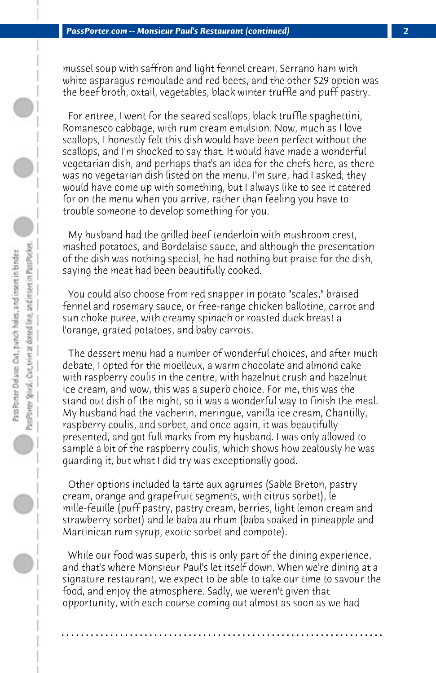mussel soup with saffron and light fennel cream, Serrano ham with white asparagus remoulade and red beets, and the other \$29 option was the beef broth, oxtail, vegetables, black winter truffle and puff pastry.

 For entree, I went for the seared scallops, black truffle spaghettini, Romanesco cabbage, with rum cream emulsion. Now, much as I love scallops, I honestly felt this dish would have been perfect without the scallops, and I'm shocked to say that. It would have made a wonderful vegetarian dish, and perhaps that's an idea for the chefs here, as there was no vegetarian dish listed on the menu. I'm sure, had I asked, they would have come up with something, but I always like to see it catered for on the menu when you arrive, rather than feeling you have to trouble someone to develop something for you.

 My husband had the grilled beef tenderloin with mushroom crest, mashed potatoes, and Bordelaise sauce, and although the presentation of the dish was nothing special, he had nothing but praise for the dish, saying the meat had been beautifully cooked.

 You could also choose from red snapper in potato "scales," braised fennel and rosemary sauce, or free-range chicken ballotine, carrot and sun choke puree, with creamy spinach or roasted duck breast a l'orange, grated potatoes, and baby carrots.

 The dessert menu had a number of wonderful choices, and after much debate, I opted for the moelleux, a warm chocolate and almond cake with raspberry coulis in the centre, with hazelnut crush and hazelnut ice cream, and wow, this was a superb choice. For me, this was the stand out dish of the night, so it was a wonderful way to finish the meal. My husband had the vacherin, meringue, vanilla ice cream, Chantilly, raspberry coulis, and sorbet, and once again, it was beautifully presented, and got full marks from my husband. I was only allowed to sample a bit of the raspberry coulis, which shows how zealously he was guarding it, but what I did try was exceptionally good.

 Other options included la tarte aux agrumes (Sable Breton, pastry cream, orange and grapefruit segments, with citrus sorbet), le mille-feuille (puff pastry, pastry cream, berries, light lemon cream and strawberry sorbet) and le baba au rhum (baba soaked in pineapple and Martinican rum syrup, exotic sorbet and compote).

 While our food was superb, this is only part of the dining experience, and that's where Monsieur Paul's let itself down. When we're dining at a signature restaurant, we expect to be able to take our time to savour the food, and enjoy the atmosphere. Sadly, we weren't given that opportunity, with each course coming out almost as soon as we had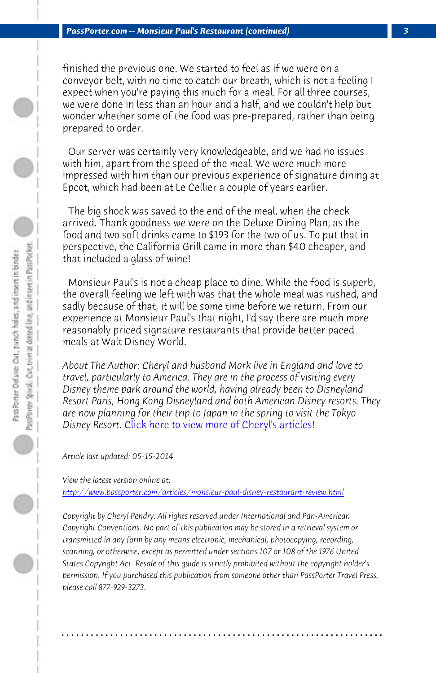*PassPorter.com -- Monsieur Paul's Restaurant (continued) 3*

finished the previous one. We started to feel as if we were on a conveyor belt, with no time to catch our breath, which is not a feeling I expect when you're paying this much for a meal. For all three courses, we were done in less than an hour and a half, and we couldn't help but wonder whether some of the food was pre-prepared, rather than being prepared to order.

 Our server was certainly very knowledgeable, and we had no issues with him, apart from the speed of the meal. We were much more impressed with him than our previous experience of signature dining at Epcot, which had been at Le Cellier a couple of years earlier.

 The big shock was saved to the end of the meal, when the check arrived. Than[k goodness we were on the Deluxe Dining Pl](http://www.passporter.com/articles/cheryl-pendry-featured-columnist.asp)an, as the food and two soft drinks came to \$193 for the two of us. To put that in perspective, the California Grill came in more than \$40 cheaper, and that included a glass of wine!

 Monsieur Paul's is not a cheap place to dine. While the food is superb, [the overall feeling we left with was that the whole meal was rush](http://www.passporter.com/articles/monsieur-paul-disney-restaurant-review.php)ed, and sadly because of that, it will be some time before we return. From our experience at Monsieur Paul's that night, I'd say there are much more reasonably priced signature restaurants that provide better paced meals at Walt Disney World.

*About The Author: Cheryl and husband Mark live in England and love to travel, particularly to America. They are in the process of visiting every Disney theme park around the world, having already been to Disneyland Resort Paris, Hong Kong Disneyland and both American Disney resorts. They are now planning for their trip to Japan in the spring to visit the Tokyo Disney Resort.* Click here to view more of Cheryl's articles!

*Article last updated: 05-15-2014*

*View the latest version online at: http://www.passporter.com/articles/monsieur-paul-disney-restaurant-review.html*

*Copyright by Cheryl Pendry. All rights reserved under International and Pan-American Copyright Conventions. No part of this publication may be stored in a retrieval system or transmitted in any form by any means electronic, mechanical, photocopying, recording, scanning, or otherwise, except as permitted under sections 107 or 108 of the 1976 United States Copyright Act. Resale of this guide is strictly prohibited without the copyright holder's permission. If you purchased this publication from someone other than PassPorter Travel Press, please call 877-929-3273.*